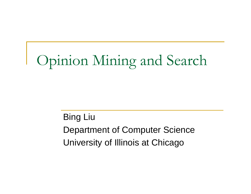# Opinion Mining and Search

Bing Liu

Department of Computer Science University of Illinois at Chicago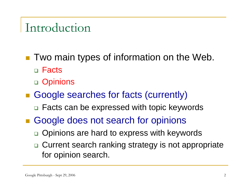# Introduction

- Two main types of information on the Web. □ Facts
	- □ Opinions
- Google searches for facts (currently)
	- □ Facts can be expressed with topic keywords
- **Google does not search for opinions** 
	- $\Box$ Opinions are hard to express with keywords
	- $\Box$  Current search ranking strategy is not appropriate for opinion search.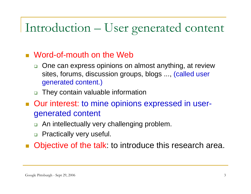## Introduction – User generated content

#### Word-of-mouth on the Web

- □ One can express opinions on almost anything, at review sites, forums, discussion groups, blogs ..., (called user generated content.)
- $\Box$ They contain valuable information
- **Dur interest: to mine opinions expressed in user**generated content
	- $\Box$ An intellectually very challenging problem.
	- □ Practically very useful.
- E Objective of the talk: to introduce this research area.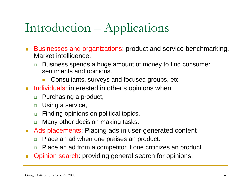# Introduction – Applications

- $\mathcal{C}$  Businesses and organizations: product and service benchmarking. Market intelligence.
	- $\Box$  Business spends a huge amount of money to find consumer sentiments and opinions.
		- × Consultants, surveys and focused groups, etc
- **Individuals: interested in other's opinions when** 
	- □ Purchasing a product,
	- $\Box$ Using a service,
	- $\Box$ Finding opinions on political topics,
	- $\Box$ Many other decision making tasks.
- **The Co**  Ads placements: Placing ads in user-generated content
	- $\Box$ Place an ad when one praises an product.
	- $\Box$ Place an ad from a competitor if one criticizes an product.
- $\mathcal{C}^{\mathcal{A}}$ Opinion search: providing general search for opinions.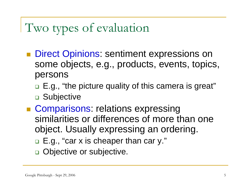# Two types of evaluation

- **Direct Opinions: sentiment expressions on** some objects, e.g., products, events, topics, persons
	- □ E.g., "the picture quality of this camera is great" □ Subjective
- **Comparisons: relations expressing** similarities or differences of more than one object. Usually expressing an ordering.
	- E.g., "car x is cheaper than car y."
	- **Q** Objective or subjective.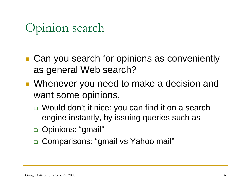# Opinion search

- Can you search for opinions as conveniently as general Web search?
- Whenever you need to make a decision and want some opinions,
	- □ Would don't it nice: you can find it on a search engine instantly, by issuing queries such as
	- □ Opinions: "gmail"
	- Comparisons: "gmail vs Yahoo mail"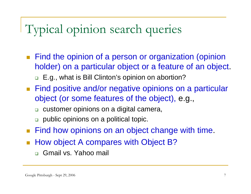# Typical opinion search queries

- p. Find the opinion of a person or organization (opinion holder) on a particular object or a feature of an object. □ E.g., what is Bill Clinton's opinion on abortion?
- Find positive and/or negative opinions on a particular object (or some features of the object), e.g.,
	- $\Box$ customer opinions on a digital camera,
	- ❏ public opinions on a political topic.
- Find how opinions on an object change with time.
- How object A compares with Object B?
	- ❏ Gmail vs. Yahoo mail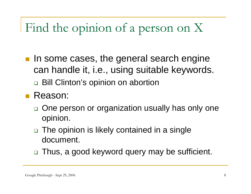# Find the opinion of a person on X

- **If** in some cases, the general search engine can handle it, i.e., using suitable keywords. □ Bill Clinton's opinion on abortion
- Reason:
	- □ One person or organization usually has only one opinion.
	- $\Box$  The opinion is likely contained in a single document.
	- □ Thus, a good keyword query may be sufficient.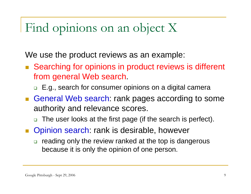## Find opinions on an object X

We use the product reviews as an example:

- Searching for opinions in product reviews is different from general Web search.
	- □ E.g., search for consumer opinions on a digital camera
- General Web search: rank pages according to some authority and relevance scores.
	- $\Box$ The user looks at the first page (if the search is perfect).
- **Opinion search: rank is desirable, however** 
	- $\Box$  reading only the review ranked at the top is dangerous because it is only the opinion of one person.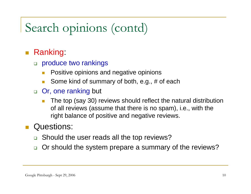# Search opinions (contd)

#### $\left\vert \cdot \right\rangle$ Ranking:

- □ produce two rankings
	- F. Positive opinions and negative opinions
	- T. Some kind of summary of both, e.g., # of each
- □ Or, one ranking but
	- T. The top (say 30) reviews should reflect the natural distribution of all reviews (assume that there is no spam), i.e., with the right balance of positive and negative reviews.

#### H Questions:

- □ Should the user reads all the top reviews?
- $\Box$ Or should the system prepare a summary of the reviews?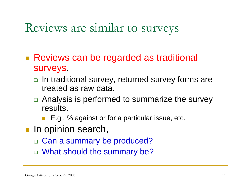## Reviews are similar to surveys

- Reviews can be regarded as traditional surveys.
	- □ In traditional survey, returned survey forms are treated as raw data.
	- □ Analysis is performed to summarize the survey results.
		- E.g., % against or for a particular issue, etc.
- **In opinion search,** 
	- □ Can a summary be produced?
	- What should the summary be?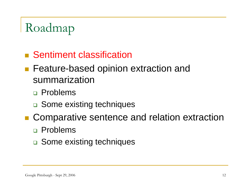# Roadmap

- **Sentiment classification**
- Feature-based opinion extraction and summarization
	- Problems
	- □ Some existing techniques
- **EXComparative sentence and relation extraction** 
	- Problems
	- □ Some existing techniques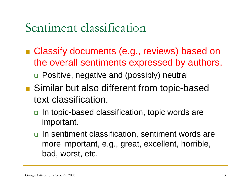## Sentiment classification

- Classify documents (e.g., reviews) based on the overall sentiments expressed by authors,
	- □ Positive, negative and (possibly) neutral
- Similar but also different from topic-based text classification.
	- □ In topic-based classification, topic words are important.
	- **□** In sentiment classification, sentiment words are more important, e.g., great, excellent, horrible, bad, worst, etc.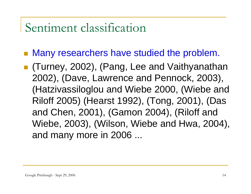## Sentiment classification

- **Nany researchers have studied the problem.**
- $\mathbb{R}^2$ ■ (Turney, 2002), (Pang, Lee and Vaithyanathan 2002), (Dave, Lawrence and Pennock, 2003), (Hatzivassiloglou and Wiebe 2000, (Wiebe and Riloff 2005) (Hearst 1992), (Tong, 2001), (Das and Chen, 2001), (Gamon 2004), (Riloff and Wiebe, 2003), (Wilson, Wiebe and Hwa, 2004), and many more in 2006 ...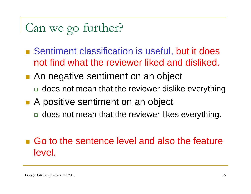# Can we go further?

- Sentiment classification is useful, but it does not find what the reviewer liked and disliked.
- **An negative sentiment on an object** □ does not mean that the reviewer dislike everything
- A positive sentiment on an object
	- □ does not mean that the reviewer likes everything.
- Go to the sentence level and also the feature level.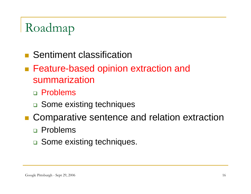# Roadmap

- **Sentiment classification**
- Feature-based opinion extraction and summarization
	- Problems
	- □ Some existing techniques
- **EXComparative sentence and relation extraction** 
	- Problems
	- □ Some existing techniques.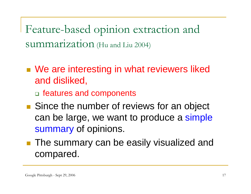Feature-based opinion extraction and summarization (Hu and Liu 2004)

- We are interesting in what reviewers liked and disliked,
	- □ features and components
- **Since the number of reviews for an object** can be large, we want to produce a simple summary of opinions.
- **The summary can be easily visualized and** compared.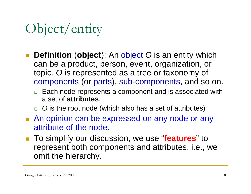# Object/entity

- **Definition** (**object**): An object *O* is an entity which can be a product, person, event, organization, or topic. *O* is represented as a tree or taxonomy of components (or parts), sub-components, and so on.
	- $\Box$  Each node represents a component and is associated with a set of **attributes**.
	- *O* is the root node (which also has a set of attributes)
- **An opinion can be expressed on any node or any** attribute of the node.
- To simplify our discussion, we use "**features**" to represent both components and attributes, i.e., we omit the hierarchy.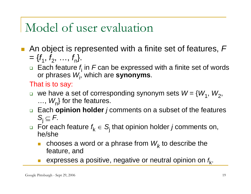# Model of user evaluation

- $\mathcal{L}^{\mathcal{L}}$  An object is represented with a finite set of features, *F*  $= \{f_1, f_2, \ldots, f_n\}.$ 
	- □ Each feature *f*<sub>i</sub> in *F* can be expressed with a finite set of words or phrases *W*i, which are **synonyms**.

That is to say:

- $\blacksquare$  we have a set of corresponding synonym sets  $W$  = { $W_1,~W_2,~$  $..., W_{n}$  for the features.
- Each **opinion holder** *j* comments on a subset of the features  $S_i \subseteq F$ .
- For each feature *f*<sup>k</sup> <sup>∈</sup> *<sup>S</sup>*<sup>j</sup> that opinion holder *<sup>j</sup>* comments on, he/she
	- П **chooses a word or a phrase from**  $W_k$  **to describe the** feature, and
	- $\sim$ expresses a positive, negative or neutral opinion on *f*k.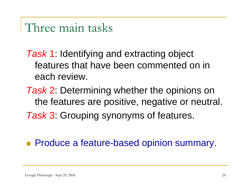### Three main tasks

*Task* 1: Identifying and extracting object features that have been commented on in each review.

*Task* 2: Determining whether the opinions on the features are positive, negative or neutral. *Task* 3: Grouping synonyms of features.

**Produce a feature-based opinion summary.**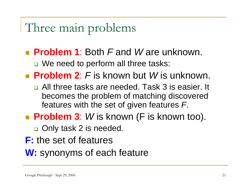## Three main problems

#### **Problem 1**: Both *F* and *W* are unknown.

□ We need to perform all three tasks:

■ Problem 2: *F* is known but *W* is unknown.

- □ All three tasks are needed. Task 3 is easier. It becomes the problem of matching discovered features with the set of given features *F*.
- Problem 3: *W* is known (F is known too).

□ Only task 2 is needed.

- **F:** the set of features
- **W:** synonyms of each feature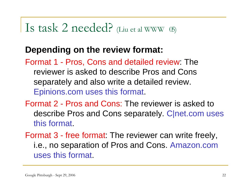## Is task 2 needed? (Liu et al WWW- 05)

#### **Depending on the review format:**

Format 1 - Pros, Cons and detailed review: The reviewer is asked to describe Pros and Cons separately and also write a detailed review. Epinions.com uses this format.

Format 2 - Pros and Cons: The reviewer is asked to describe Pros and Cons separately. C|net.com uses this format.

Format 3 - free format: The reviewer can write freely, i.e., no separation of Pros and Cons. Amazon.com uses this format.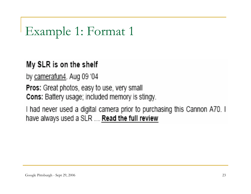# Example 1: Format 1

#### My SLR is on the shelf

by camerafun4. Aug 09 '04

**Pros:** Great photos, easy to use, very small

Cons: Battery usage; included memory is stingy.

I had never used a digital camera prior to purchasing this Cannon A70. I have always used a SLR ... Read the full review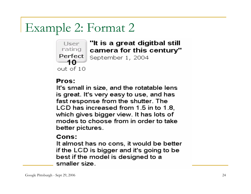## Example 2: Format 2

**User** rating Perfect 4Λ  $out of 10$ 

#### "It is a great digitbal still camera for this century"

September 1, 2004

#### **Pros:**

It's small in size, and the rotatable lens is great. It's very easy to use, and has fast response from the shutter. The LCD has increased from 1.5 in to 1.8, which gives bigger view. It has lots of modes to choose from in order to take better pictures.

#### Cons:

It almost has no cons, it would be better if the LCD is bigger and it's going to be best if the model is designed to a smaller size.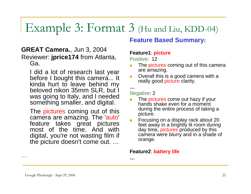# Example 3: Format 3 (Hu and Liu, KDD-04)

#### **GREAT Camera.**, Jun 3, 2004 Reviewer: **jprice174** from Atlanta, Ga.

I did a lot of research last year before I bought this camera... It kinda hurt to leave behind my beloved nikon 35mm SLR, but I was going to Italy, and I needed something smaller, and digital.

The pictures coming out of this camera are amazing. The 'auto' feature takes great pictures most of the time. And with digital, you're not wasting film if the picture doesn't come out. …

#### **Feature Based Summary:**

#### **Feature1**: **picture**

Positive: 12

- The pictures coming out of this camera are amazing.
- П Overall this is a good camera with a really good picture clarity.

**…**

**…**

#### Negative: 2

- П The pictures come out hazy if your hands shake even for a moment during the entire process of taking a picture.
- П Focusing on a display rack about 20 feet away in a brightly lit room during day time, pictures produced by this camera were blurry and in a shade of orange.

#### **Feature2**: **battery life**

….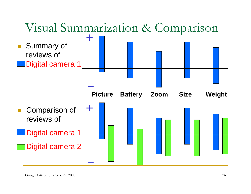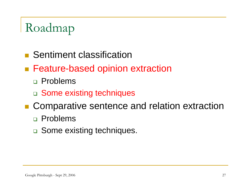# Roadmap

- **Sentiment classification**
- Feature-based opinion extraction
	- Problems
	- □ Some existing techniques
- **EXComparative sentence and relation extraction** 
	- Problems
	- □ Some existing techniques.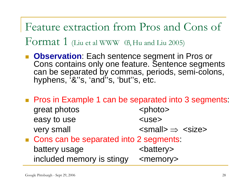Feature extraction from Pros and Cons of Format 1 (Liu et al WWW  $\,$  03, Hu and Liu 2005)

- **Dbservation**: Each sentence segment in Pros or Cons contains only one feature. Sentence segments can be separated by commas, periods, semi-colons, hyphens, '&''s, 'and''s, 'but''s, etc.
- **Pros in Example 1 can be separated into 3 segments:** 
	- great photos  $\leq$   $\leq$   $\leq$   $\leq$   $\leq$   $\leq$   $\leq$   $\leq$   $\leq$   $\leq$   $\leq$   $\leq$   $\leq$   $\leq$   $\leq$   $\leq$   $\leq$   $\leq$   $\leq$   $\leq$   $\leq$   $\leq$   $\leq$   $\leq$   $\leq$   $\leq$   $\leq$   $\leq$   $\leq$   $\leq$   $\leq$   $\leq$   $\leq$   $\leq$   $\leq$ easy to use  $\leq$   $\leq$   $\leq$   $\leq$   $\leq$   $\leq$   $\leq$   $\leq$   $\leq$   $\leq$   $\leq$   $\leq$   $\leq$   $\leq$   $\leq$   $\leq$   $\leq$   $\leq$   $\leq$   $\leq$   $\leq$   $\leq$   $\leq$   $\leq$   $\leq$   $\leq$   $\leq$   $\leq$   $\leq$   $\leq$   $\leq$   $\leq$   $\leq$   $\leq$   $\leq$  very small  $\le$   $\le$  small>  $\Rightarrow$   $\le$  size>
- **Cons can be separated into 2 segments:**

| battery usage             | <battery></battery> |
|---------------------------|---------------------|
| included memory is stingy | <memory></memory>   |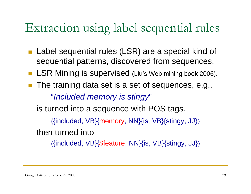## Extraction using label sequential rules

- Label sequential rules (LSR) are a special kind of sequential patterns, discovered from sequences.
- LSR Mining is supervised (Liu's Web mining book 2006).
- The training data set is a set of sequences, e.g., "*Included memory is stingy*"

is turned into a sequence with POS tags.

〈{included, VB}{memory, NN}{is, VB}{stingy, JJ}〉 then turned into

〈{included, VB}{\$feature, NN}{is, VB}{stingy, JJ}〉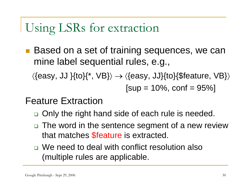# Using LSRs for extraction

**Based on a set of training sequences, we can** mine label sequential rules, e.g.,

 $\langle \{\text{easy}, \text{JJ}\ \} \{\text{to}\} \rangle \rightarrow \langle \{\text{easy}, \text{JJ}\} \{\text{to}\} \rangle$  $[sup = 10\%, cont = 95\%]$ 

#### Feature Extraction

- $\Box$ Only the right hand side of each rule is needed.
- $\Box$  The word in the sentence segment of a new review that matches \$feature is extracted.
- □ We need to deal with conflict resolution also (multiple rules are applicable.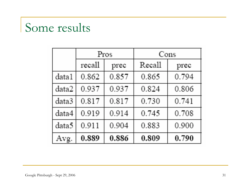# Some results

|       | Pros   |       | Cons   |       |
|-------|--------|-------|--------|-------|
|       | recall | prec  | Recall | prec  |
| data1 | 0.862  | 0.857 | 0.865  | 0.794 |
| data2 | 0.937  | 0.937 | 0.824  | 0.806 |
| data3 | 0.817  | 0.817 | 0.730  | 0.741 |
| data4 | 0.919  | 0.914 | 0.745  | 0.708 |
| data5 | 0.911  | 0.904 | 0.883  | 0.900 |
|       | 0.889  | 0.886 | 0.809  | 0.790 |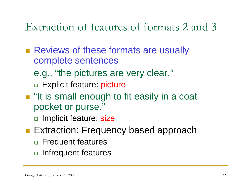### Extraction of features of formats 2 and 3

- Reviews of these formats are usually complete sentences
	- e.g., "the pictures are very clear."
	- □ Explicit feature: picture
- **If** "It is small enough to fit easily in a coat pocket or purse."

□ Implicit feature: size

- **Extraction: Frequency based approach** 
	- □ Frequent features
	- □ Infrequent features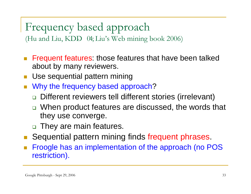Frequency based approach (Hu and Liu, KDD- 04; Liu's Web mining book 2006)

- $\overline{\mathbb{R}}$  Frequent features: those features that have been talked about by many reviewers.
- L. Use sequential pattern mining
- Why the frequency based approach?
	- □ Different reviewers tell different stories (irrelevant)
	- □ When product features are discussed, the words that they use converge.
	- $\Box$ They are main features.
- Sequential pattern mining finds frequent phrases.
- $\overline{\mathbb{R}}$  Froogle has an implementation of the approach (no POS restriction).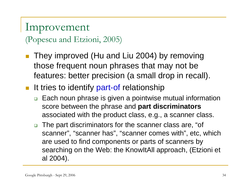### Improvement (Popescu and Etzioni, 2005)

- П They improved (Hu and Liu 2004) by removing those frequent noun phrases that may not be features: better precision (a small drop in recall).
- It tries to identify part-of relationship
	- □ Each noun phrase is given a pointwise mutual information score between the phrase and **part discriminators** associated with the product class, e.g., a scanner class.
	- $\Box$  The part discriminators for the scanner class are, "of scanner", "scanner has", "scanner comes with", etc, which are used to find components or parts of scanners by searching on the Web: the KnowItAll approach, (Etzioni et al 2004).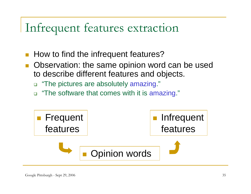## Infrequent features extraction

- $\mathcal{L}_{\mathcal{A}}$ How to find the infrequent features?
- $\mathcal{L}_{\mathcal{A}}$  Observation: the same opinion word can be used to describe different features and objects.
	- $\Box$ "The pictures are absolutely amazing."
	- $\Box$ "The software that comes with it is amazing."

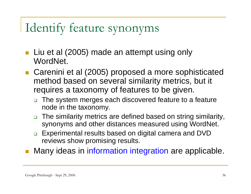# Identify feature synonyms

- Liu et al (2005) made an attempt using only WordNet.
- Carenini et al (2005) proposed a more sophisticated method based on several similarity metrics, but it requires a taxonomy of features to be given.
	- $\Box$  The system merges each discovered feature to a feature node in the taxonomy.
	- $\Box$  The similarity metrics are defined based on string similarity, synonyms and other distances measured using WordNet.
	- $\Box$  Experimental results based on digital camera and DVD reviews show promising results.
- Many ideas in information integration are applicable.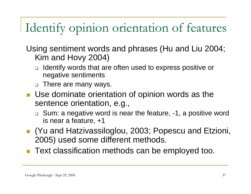# Identify opinion orientation of features

Using sentiment words and phrases (Hu and Liu 2004; Kim and Hovy 2004)

- □ Identify words that are often used to express positive or negative sentiments
- □ There are many ways.
- **Use dominate orientation of opinion words as the** sentence orientation, e.g.,
	- $\Box$  Sum: a negative word is near the feature, -1, a positive word is near a feature, +1
- $\overline{\phantom{a}}$  (Yu and Hatzivassiloglou, 2003; Popescu and Etzioni, 2005) used some different methods.
- Text classification methods can be employed too.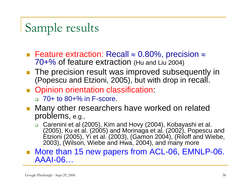# Sample results

- Feature extraction: Recall ≈ 0.80%, precision  $\approx$ 70+% of feature extraction (Hu and Liu 2004)
- $\overline{\phantom{a}}$  The precision result was improved subsequently in (Popescu and Etzioni, 2005), but with drop in recall.
- **Opinion orientation classification:** 70+ to 80+% in F-score.
- П Many other researchers have worked on related problems, e.g.,
	- Carenini et al (2005), Kim and Hovy (2004), Kobayashi et al. (2005), Ku et al. (2005) and Morinaga et al. (2002), Popescu and Etzioni (2005), Yi et al. (2003), (Gamon 2004), (Riloff and Wiebe, 2003), (Wilson, Wiebe and Hwa, 2004), and many more

■ More than 15 new papers from ACL-06, EMNLP-06. AAAI-06…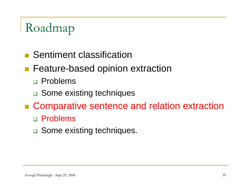# Roadmap

- **Sentiment classification**
- **Feature-based opinion extraction** 
	- Problems
	- □ Some existing techniques
- **Examperative sentence and relation extraction** 
	- Problems
	- □ Some existing techniques.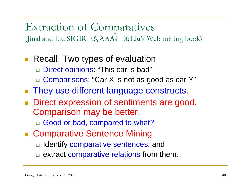#### Extraction of Comparatives (Jinal and Liu SIGIR- 06, AAAI- 06; Liu's Web mining book)

П Recall: Two types of evaluation

- □ Direct opinions: "This car is bad"
- □ Comparisons: "Car X is not as good as car Y"
- **They use different language constructs.**
- $\mathcal{L}(\mathcal{A})$  Direct expression of sentiments are good. Comparison may be better.
	- □ Good or bad, compared to what?
- Comparative Sentence Mining
	- □ Identify comparative sentences, and
	- □ extract comparative relations from them.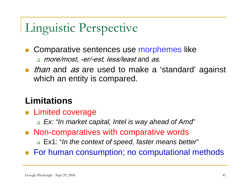# Linguistic Perspective

#### $\mathcal{L}_{\mathcal{A}}$ Comparative sentences use morphemes like

- more/most, -er/-est, less/least and as*.*
- **han and as are used to make a 'standard' against** which an entity is compared.

### **Limitations**

- **Limited coverage** 
	- *Ex: "In market capital, Intel is way ahead of Amd*"
- Non-comparatives with comparative words
	- Ex1: "*In the context of speed, faster means better*"
- For human consumption; no computational methods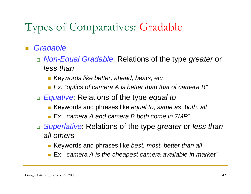### Types of Comparatives: Gradable

#### $\mathcal{C}^{\mathcal{A}}$ *Gradable*

- *Non-Equal Gradable*: Relations of the type *greater* or *less than*
	- *Keywords like better, ahead, beats, etc*
	- *Ex: "optics of camera A is better than that of camera B"*
- *Equative*: Relations of the type *equal to*
	- Keywords and phrases like *equal to*, *same as*, *both*, *all*
	- Ex: "*camera A and camera B both come in 7MP*"
- *Superlative*: Relations of the type *greater* or *less than all others*
	- Keywords and phrases like *best, most, better than all*
	- × Ex: "*camera A is the cheapest camera available in market*"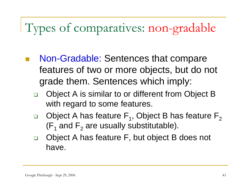# Types of comparatives: non-gradable

- Non-Gradable: Sentences that compare features of two or more objects, but do not grade them. Sentences which imply:
	- $\Box$  Object A is similar to or different from Object B with regard to some features.
	- $\Box$ Object A has feature  $F_1$ , Object B has feature  $F_2$ (F<sub>1</sub> and F<sub>2</sub> are usually substitutable).
	- $\Box$  Object A has feature F, but object B does not have.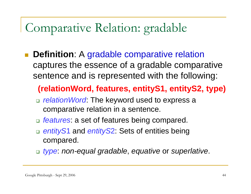## Comparative Relation: gradable

T **Definition**: A gradable comparative relation captures the essence of a gradable comparative sentence and is represented with the following:

#### **(relationWord, features, entityS1, entityS2, type)**

- *relationWord*: The keyword used to express a comparative relation in a sentence.
- *features*: a set of features being compared.
- $\Box$  *entityS*1 and *entityS*2: Sets of entities being compared.
- *type*: *non-equal gradable*, *equative* or *superlative*.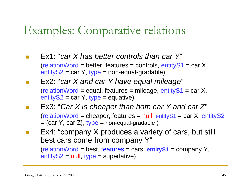### Examples: Comparative relations

- Ex1: "*car X has better controls than car Y*"  $(relationWord = better, features = controls, entityS1 = car X,$ entityS2 = car Y, type = non-equal-gradable)
- Ex2: "*car X and car Y have equal mileage*"  $(relationWord = equal, features = mileage, entityS1 = car X,$ entityS2 = car Y, type = equative)
- Ex3: "*Car X is cheaper than both car Y and car Z*"  $(relationWord = cheaper, features = null, entityS1 = car X, entityS2$  $=$  {car Y, car Z}, type = non-equal-gradable )
- F Ex4: "company X produces a variety of cars, but still best cars come from company Y" (relationWord = best, features = cars, **entityS1** = company Y, entityS2 <sup>=</sup> null, type = superlative)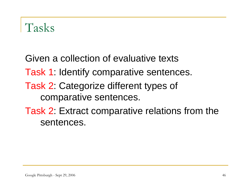## Tasks

Given a collection of evaluative texts Task 1: Identify comparative sentences. Task 2: Categorize different types of comparative sentences. Task 2: Extract comparative relations from the

sentences.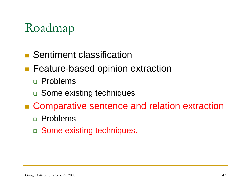# Roadmap

- **Sentiment classification**
- **Feature-based opinion extraction** 
	- Problems
	- □ Some existing techniques
- **Examperative sentence and relation extraction** 
	- Problems
	- □ Some existing techniques.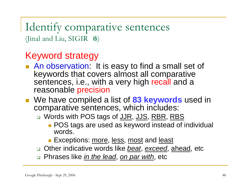### Identify comparative sentences (Jinal and Liu,  $SIGH_{\omega}$ )

### Keyword strategy

- **An observation:** It is easy to find a small set of keywords that covers almost all comparative sentences, i.e., with a very high recall and a reasonable precision
- We have compiled a list of **83 keywords** used in comparative sentences, which includes:
	- □ Words with POS tags of <u>JJR, JJS, RBR, RBS</u>
		- **POS tags are used as keyword instead of individual** words.
		- Exceptions: <u>more, less, most</u> and <u>least</u>
	- Other indicative words like *beat*, *exceed*, ahead, etc
	- Phrases like *in the lead*, *on par with*, etc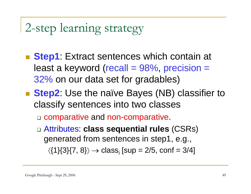# 2-step learning strategy

- **Step1**: Extract sentences which contain at least a keyword (recall  $= 98\%$ , precision  $=$ 32% on our data set for gradables)
- Step2: Use the naïve Bayes (NB) classifier to classify sentences into two classes

□ comparative and non-comparative

 Attributes: **class sequential rules** (CSRs) generated from sentences in step1, e.g.,

 $\langle \{1\}\!\!\{3\}\!\!\{7,\,8\}\rangle\rightarrow \mathsf{class}_\mathsf{i}$  [sup = 2/5,  $\mathsf{conf}$  = 3/4]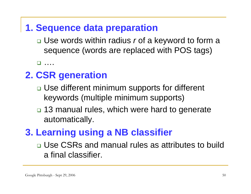### **1. Sequence data preparation**

 Use words within radius *<sup>r</sup>* of a keyword to form a sequence (words are replaced with POS tags)

a....

### **2. CSR generation**

- □ Use different minimum supports for different keywords (multiple minimum supports)
- □ 13 manual rules, which were hard to generate automatically.

### **3. Learning using a NB classifier**

**□ Use CSRs and manual rules as attributes to build** a final classifier.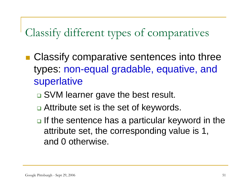# Classify different types of comparatives

- Classify comparative sentences into three types: non-equal gradable, equative, and superlative
	- □ SVM learner gave the best result.
	- □ Attribute set is the set of keywords.
	- $\Box$  If the sentence has a particular keyword in the attribute set, the corresponding value is 1, and 0 otherwise.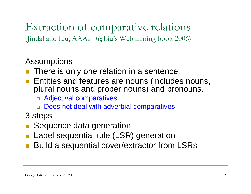Extraction of comparative relations (Jindal and Liu, AAAI- 06; Liu's Web mining book 2006)

Assumptions

- П There is only one relation in a sentence.
- **Entities and features are nouns (includes nouns,** plural nouns and proper nouns) and pronouns.
	- □ Adjectival comparatives
	- □ Does not deal with adverbial comparatives
- 3 steps
- Sequence data generation
- Label sequential rule (LSR) generation
- П Build a sequential cover/extractor from LSRs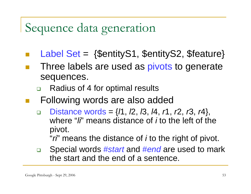## Sequence data generation

- Label Set = {\$entityS1, \$entityS2, \$feature}
- Three labels are used as pivots to generate sequences.
	- $\Box$ Radius of 4 for optimal results
- Following words are also added
	- $\Box$  Distance words = {*l*1, *l*2, *l*3, *l*4, *r*1, *r*2, *r*3, *r*4}, where "*li*" means distance of *i* to the left of the pivot.

"*ri*" means the distance of *i* to the right of pivot.

 $\Box$  Special words #*start* and #*end* are used to mark the start and the end of a sentence.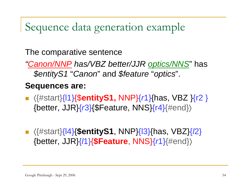Sequence data generation example

The comparative sentence

*"Canon/NNP has/VBZ better/JJR optics/NNS*" has *\$entityS1* "*Canon*" and *\$feature* "*optics*".

#### **Sequences are:**

 〈{#start}{l1}{\$**entityS1,** NNP}{*r*1}{has, VBZ }{r2 } {better, JJR}{*r*3}{\$Feature, NNS}{r4}{#end}〉

 〈{#start}{l4}{**\$entityS1**, NNP}{l3}{has, VBZ}{*l*2} {better, JJR}{*l*1}{**\$Feature**, NNS}{*r*1}{#end}〉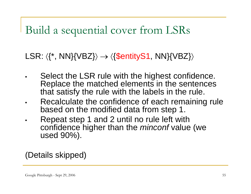Build a sequential cover from LSRs

#### LSR:  $\langle \{^*, NN\} \{V BZ\} \rangle \rightarrow \langle \{\$entityS1, NN\} \{V BZ\} \rangle$

- • Select the LSR rule with the highest confidence. Replace the matched elements in the sentences that satisfy the rule with the labels in the rule.
- • Recalculate the confidence of each remaining rule based on the modified data from step 1.
- • Repeat step 1 and 2 until no rule left with confidence higher than the *minconf* value (we used 90%).

(Details skipped)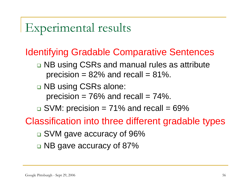# Experimental results

### Identifying Gradable Comparative Sentences

□ NB using CSRs and manual rules as attribute precision  $= 82\%$  and recall  $= 81\%$ .

□ NB using CSRs alone:

precision  $= 76\%$  and recall  $= 74\%$ .

- $\square$  SVM: precision = 71% and recall = 69%
- Classification into three different gradable types
	- □ SVM gave accuracy of 96%
	- □ NB gave accuracy of 87%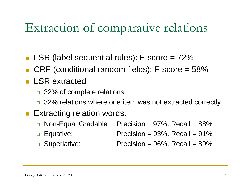## Extraction of comparative relations

- LSR (label sequential rules): F-score = 72%
- CRF (conditional random fields): F-score = 58%
- LSR extracted
	- □ 32% of complete relations
	- □ 32% relations where one item was not extracted correctly

#### E Extracting relation words:

- □ Non-Equal Gradable  $Precision = 97\%$ . Recall = 88%
- **D** Equative: Precision =  $93\%$ . Recall =  $91\%$
- □ Superlative: Precision =  $96\%$ . Recall =  $89\%$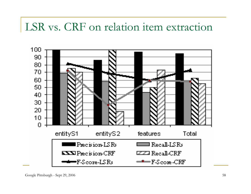### LSR vs. CRF on relation item extraction